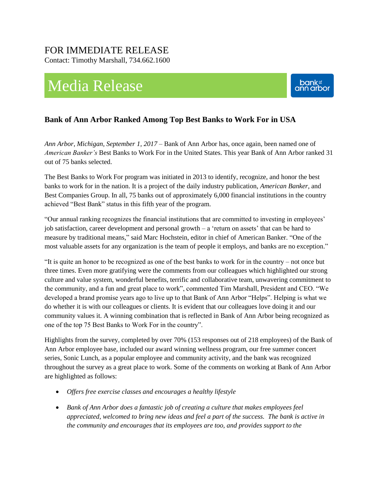## FOR IMMEDIATE RELEASE

Contact: Timothy Marshall, 734.662.1600

# Media Release



### **Bank of Ann Arbor Ranked Among Top Best Banks to Work For in USA**

*Ann Arbor, Michigan, September 1, 2017* – Bank of Ann Arbor has, once again, been named one of *American Banker's* Best Banks to Work For in the United States. This year Bank of Ann Arbor ranked 31 out of 75 banks selected.

The Best Banks to Work For program was initiated in 2013 to identify, recognize, and honor the best banks to work for in the nation. It is a project of the daily industry publication, *American Banker,* and Best Companies Group. In all, 75 banks out of approximately 6,000 financial institutions in the country achieved "Best Bank" status in this fifth year of the program.

"Our annual ranking recognizes the financial institutions that are committed to investing in employees' job satisfaction, career development and personal growth – a 'return on assets' that can be hard to measure by traditional means," said Marc Hochstein, editor in chief of American Banker. "One of the most valuable assets for any organization is the team of people it employs, and banks are no exception."

"It is quite an honor to be recognized as one of the best banks to work for in the country – not once but three times. Even more gratifying were the comments from our colleagues which highlighted our strong culture and value system, wonderful benefits, terrific and collaborative team, unwavering commitment to the community, and a fun and great place to work", commented Tim Marshall, President and CEO. "We developed a brand promise years ago to live up to that Bank of Ann Arbor "Helps". Helping is what we do whether it is with our colleagues or clients. It is evident that our colleagues love doing it and our community values it. A winning combination that is reflected in Bank of Ann Arbor being recognized as one of the top 75 Best Banks to Work For in the country".

Highlights from the survey, completed by over 70% (153 responses out of 218 employees) of the Bank of Ann Arbor employee base, included our award winning wellness program, our free summer concert series, Sonic Lunch, as a popular employee and community activity, and the bank was recognized throughout the survey as a great place to work. Some of the comments on working at Bank of Ann Arbor are highlighted as follows:

- *Offers free exercise classes and encourages a healthy lifestyle*
- *Bank of Ann Arbor does a fantastic job of creating a culture that makes employees feel appreciated, welcomed to bring new ideas and feel a part of the success. The bank is active in the community and encourages that its employees are too, and provides support to the*